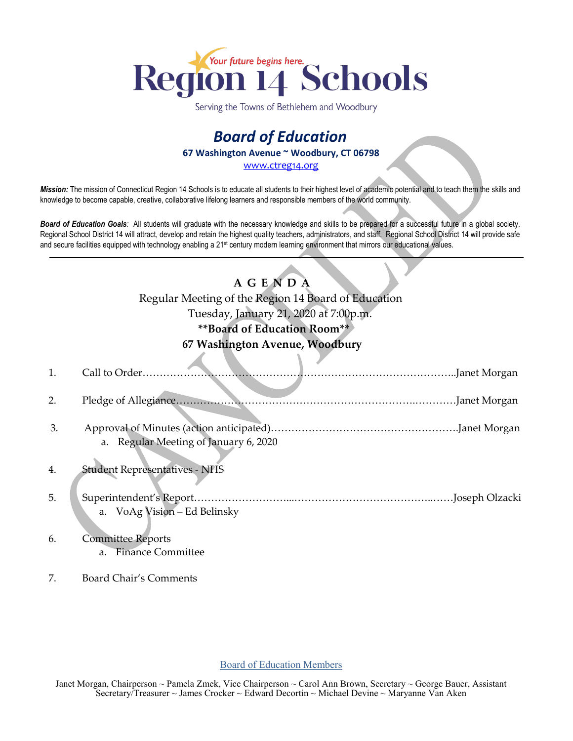

Serving the Towns of Bethlehem and Woodbury

# *Board of Education* **67 Washington Avenue ~ Woodbury, CT 06798**

[www.ctreg14.org](http://www.ctreg14.org/)

*Mission:* The mission of Connecticut Region 14 Schools is to educate all students to their highest level of academic potential and to teach them the skills and knowledge to become capable, creative, collaborative lifelong learners and responsible members of the world community.

*Board of Education Goals:* All students will graduate with the necessary knowledge and skills to be prepared for a successful future in a global society. Regional School District 14 will attract, develop and retain the highest quality teachers, administrators, and staff. Regional School District 14 will provide safe and secure facilities equipped with technology enabling a 21<sup>st</sup> century modern learning environment that mirrors our educational values.

## **A G E N D A**

Regular Meeting of the Region 14 Board of Education Tuesday, January 21, 2020 at 7:00p.m.

# **\*\*Board of Education Room\*\***

### **67 Washington Avenue, Woodbury**

| $\mathbf{1}$ . | Call to Order                         |  |
|----------------|---------------------------------------|--|
| 2.             |                                       |  |
| 3.             | a. Regular Meeting of January 6, 2020 |  |
| 4.             | <b>Student Representatives - NHS</b>  |  |
| 5.             | . Joseph Olzacki                      |  |
|                | a. VoAg Vision - Ed Belinsky          |  |
| 6.             | <b>Committee Reports</b>              |  |
|                | <b>Finance Committee</b><br>a.        |  |

7. Board Chair's Comments

#### Board of Education Members

Janet Morgan, Chairperson ~ Pamela Zmek, Vice Chairperson ~ Carol Ann Brown, Secretary ~ George Bauer, Assistant Secretary/Treasurer ~ James Crocker ~ Edward Decortin ~ Michael Devine ~ Maryanne Van Aken